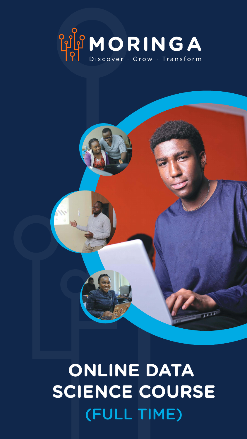



11111111

# **ONLINE DATA SCIENCE COURSE**

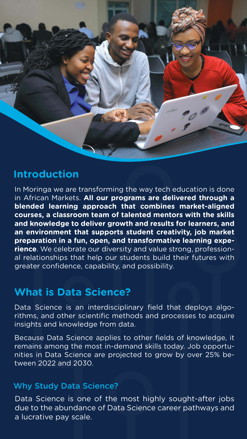## **What is Data Science?**



### **Introduction**

Because Data Science applies to other fields of knowledge, it remains among the most in-demand skills today. Job opportunities in Data Science are projected to grow by over 25% between 2022 and 2030.

Data Science is an interdisciplinary field that deploys algorithms, and other scientific methods and processes to acquire insights and knowledge from data.

In Moringa we are transforming the way tech education is done in African Markets. **All our programs are delivered through a blended learning approach that combines market-aligned courses, a classroom team of talented mentors with the skills and knowledge to deliver growth and results for learners, and an environment that supports student creativity, job market preparation in a fun, open, and transformative learning experience**. We celebrate our diversity and value strong, professional relationships that help our students build their futures with greater confidence, capability, and possibility.

#### Why Study Data Science?

Data Science is one of the most highly sought-after jobs due to the abundance of Data Science career pathways and

#### a lucrative pay scale.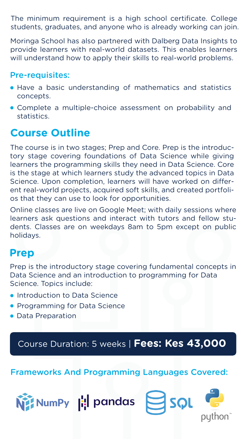#### Pre-requisites:

The minimum requirement is a high school certificate. College students, graduates, and anyone who is already working can join.

Moringa School has also partnered with Dalberg Data Insights to provide learners with real-world datasets. This enables learners will understand how to apply their skills to real-world problems.

- Have a basic understanding of mathematics and statistics concepts.
- Complete a multiple-choice assessment on probability and statistics.

- Introduction to Data Science
- **Programming for Data Science**
- Data Preparation

Frameworks And Programming Languages Covered:



## **Course Outline**

The course is in two stages; Prep and Core. Prep is the introductory stage covering foundations of Data Science while giving learners the programming skills they need in Data Science. Core is the stage at which learners study the advanced topics in Data Science. Upon completion, learners will have worked on different real-world projects, acquired soft skills, and created portfolios that they can use to look for opportunities.

Online classes are live on Google Meet; with daily sessions where learners ask questions and interact with tutors and fellow students. Classes are on weekdays 8am to 5pm except on public holidays.

Prep is the introductory stage covering fundamental concepts in Data Science and an introduction to programming for Data Science. Topics include:

## Course Duration: 5 weeks | **Fees: Kes 43,000**

## **Prep**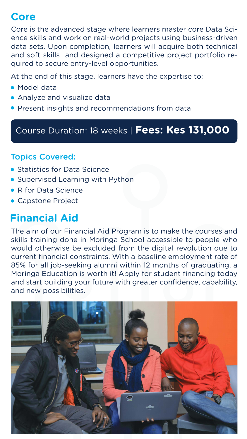- **Statistics for Data Science**
- **Supervised Learning with Python**
- R for Data Science
- Capstone Project

# **Financial Aid**

The aim of our Financial Aid Program is to make the courses and skills training done in Moringa School accessible to people who would otherwise be excluded from the digital revolution due to current financial constraints. With a baseline employment rate of 85% for all job-seeking alumni within 12 months of graduating, a Moringa Education is worth it! Apply for student financing today and start building your future with greater confidence, capability, and new possibilities.



At the end of this stage, learners have the expertise to:

- Model data
- **Analyze and visualize data**
- **Present insights and recommendations from data**

Core is the advanced stage where learners master core Data Science skills and work on real-world projects using business-driven data sets. Upon completion, learners will acquire both technical and soft skills and designed a competitive project portfolio required to secure entry-level opportunities.

#### Topics Covered:

## Course Duration: 18 weeks | **Fees: Kes 131,000**

## **Core**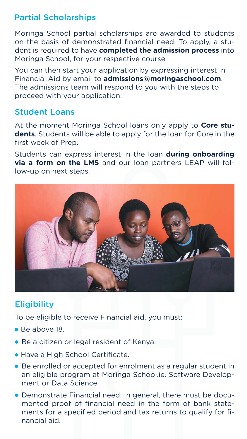#### Partial Scholarships

Moringa School partial scholarships are awarded to students on the basis of demonstrated financial need. To apply, a student is required to have **completed the admission process** into Moringa School, for your respective course.

You can then start your application by expressing interest in Financial Aid by email to **admissions@moringaschool.com**. The admissions team will respond to you with the steps to proceed with your application.

#### Student Loans

At the moment Moringa School loans only apply to **Core students**. Students will be able to apply for the loan for Core in the first week of Prep.

To be eligible to receive Financial aid, you must:

Students can express interest in the loan **during onboarding via a form on the LMS** and our loan partners LEAP will follow-up on next steps.



#### **Eligibility**

- Be above 18.
- Be a citizen or legal resident of Kenya.
- **Have a High School Certificate.**
- Be enrolled or accepted for enrolment as a regular student in an eligible program at Moringa School.ie. Software Development or Data Science.
- Demonstrate Financial need: In general, there must be documented proof of financial need in the form of bank state-

#### ments for a specified period and tax returns to qualify for fi-